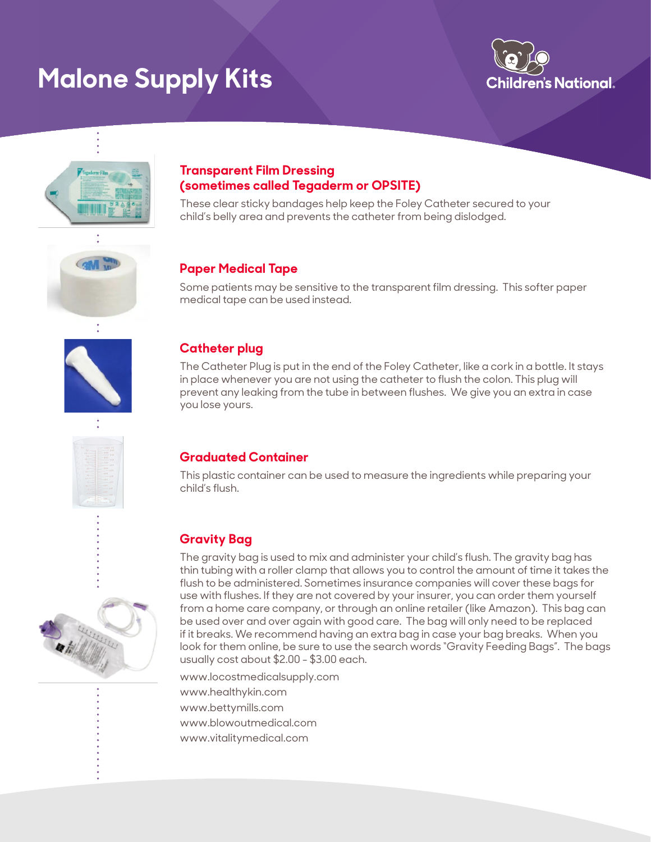# **Malone Supply Kits**





#### **Transparent Film Dressing (sometimes called Tegaderm or OPSITE)**

These clear sticky bandages help keep the Foley Catheter secured to your child's belly area and prevents the catheter from being dislodged.



# **Paper Medical Tape**

Some patients may be sensitive to the transparent film dressing. This softer paper medical tape can be used instead.



# **Catheter plug**

The Catheter Plug is put in the end of the Foley Catheter, like a cork in a bottle. It stays in place whenever you are not using the catheter to flush the colon. This plug will prevent any leaking from the tube in between flushes. We give you an extra in case you lose yours.

### **Graduated Container**

This plastic container can be used to measure the ingredients while preparing your child's flush.

# **Gravity Bag**

The gravity bag is used to mix and administer your child's flush. The gravity bag has thin tubing with a roller clamp that allows you to control the amount of time it takes the flush to be administered. Sometimes insurance companies will cover these bags for use with flushes. If they are not covered by your insurer, you can order them yourself from a home care company, or through an online retailer (like Amazon). This bag can be used over and over again with good care. The bag will only need to be replaced if it breaks. We recommend having an extra bag in case your bag breaks. When you look for them online, be sure to use the search words "Gravity Feeding Bags". The bags usually cost about \$2.00 - \$3.00 each.

www.locostmedicalsupply.com www.healthykin.com www.bettymills.com www.blowoutmedical.com www.vitalitymedical.com